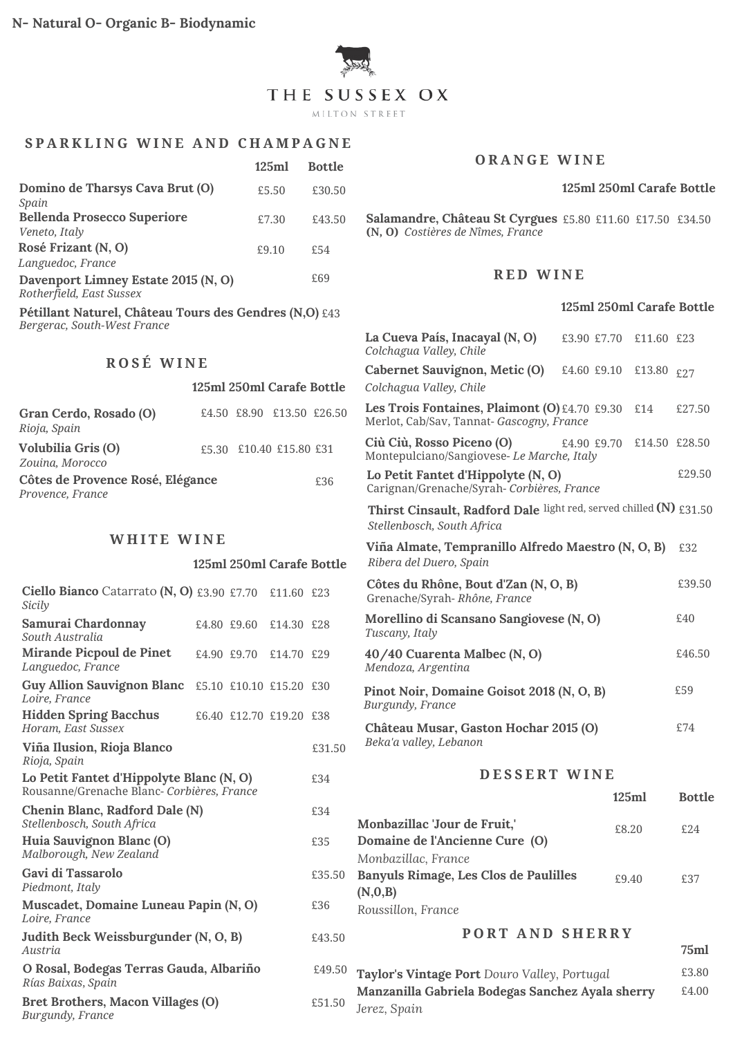

## **S P A R K L I N G W I N E A N D C H A M P A G N E**

|                                                                 | 125ml | <b>Bottle</b> |
|-----------------------------------------------------------------|-------|---------------|
| Domino de Tharsys Cava Brut (O)<br>Spain                        | £5.50 | £30.50        |
| <b>Bellenda Prosecco Superiore</b><br>Veneto, Italy             | £7.30 | £43.50        |
| Rosé Frizant (N, O)<br>Languedoc, France                        | f9.10 | £54           |
| Davenport Limney Estate 2015 (N, O)<br>Rotherfield, East Sussex |       | £69           |

**Pétillant Naturel, Château Tours des Gendres (N,O)** £43 *Bergerac, South-West France*

# **R O S É W I N E**

### **125ml 250ml Carafe Bottle**

| Gran Cerdo, Rosado (O)<br>Rioja, Spain               |  | £4.50 £8.90 £13.50 £26.50 |     |
|------------------------------------------------------|--|---------------------------|-----|
| <b>Volubilia Gris (O)</b><br>Zouina, Morocco         |  | £5.30 £10.40 £15.80 £31   |     |
| Côtes de Provence Rosé, Elégance<br>Provence, France |  |                           | £36 |

### **W H I T E W I N E**

|                                                                                        |             | 125ml 250ml Carafe Bottle |        |
|----------------------------------------------------------------------------------------|-------------|---------------------------|--------|
| <b>Ciello Bianco</b> Catarrato $(N, 0)$ £3.90 £7.70<br>Sicily                          |             | £11.60 £23                |        |
| Samurai Chardonnay<br>South Australia                                                  | £4.80 £9.60 | £14.30 £28                |        |
| <b>Mirande Picpoul de Pinet</b><br>Languedoc, France                                   | £4.90 £9.70 | £14.70 £29                |        |
| Guy Allion Sauvignon Blanc £5.10 £10.10 £15.20 £30<br>Loire, France                    |             |                           |        |
| <b>Hidden Spring Bacchus</b><br>Horam, East Sussex                                     |             | £6.40 £12.70 £19.20 £38   |        |
| Viña Ilusion, Rioja Blanco<br>Rioja, Spain                                             |             |                           | £31.50 |
| Lo Petit Fantet d'Hippolyte Blanc (N, O)<br>Rousanne/Grenache Blanc- Corbières, France |             |                           | £34    |
| Chenin Blanc, Radford Dale (N)<br>Stellenbosch, South Africa                           |             |                           | £34    |
| Huia Sauvignon Blanc (O)<br>Malborough, New Zealand                                    |             |                           | £35    |
| Gavi di Tassarolo<br>Piedmont, Italy                                                   |             |                           | £35.50 |
| Muscadet, Domaine Luneau Papin (N, O)<br>Loire, France                                 |             |                           | £36    |
| Judith Beck Weissburgunder (N, O, B)<br>Austria                                        |             |                           | £43.50 |
| O Rosal, Bodegas Terras Gauda, Albariño<br>Rías Baixas, Spain                          |             |                           | £49.50 |
| Bret Brothers, Macon Villages (O)<br>Burgundy, France                                  |             |                           | £51.50 |

### **O R A N G E W I N E**

#### **125ml 250ml Carafe Bottle**

**Salamandre, Château St Cyrgues** £5.80 £11.60 £17.50 £34.50 **(N, O)** *Costières de Nîmes, France*

### **R E D W I N E**

### **125ml 250ml Carafe Bottle**

| La Cueva País, Inacayal (N, O)<br>£3.90 £7.70<br>Colchagua Valley, Chile                         | £11.60 £23 |               |  |
|--------------------------------------------------------------------------------------------------|------------|---------------|--|
| Cabernet Sauvignon, Metic (O)<br>£4.60 £9.10                                                     | £13.80 £27 |               |  |
| Colchagua Valley, Chile                                                                          |            |               |  |
| Les Trois Fontaines, Plaimont (O) £4.70 £9.30<br>Merlot, Cab/Sav, Tannat- Gascogny, France       | £14        | £27.50        |  |
| Ciù Ciù, Rosso Piceno (O)<br>£4.90 £9.70<br>Montepulciano/Sangiovese-Le Marche, Italy            |            | £14.50 £28.50 |  |
| Lo Petit Fantet d'Hippolyte (N, O)<br>Carignan/Grenache/Syrah-Corbières, France                  |            | £29.50        |  |
| Thirst Cinsault, Radford Dale light red, served chilled (N) £31.50<br>Stellenbosch, South Africa |            |               |  |
| Viña Almate, Tempranillo Alfredo Maestro (N, O, B)<br>Ribera del Duero, Spain                    |            | £32           |  |
| Côtes du Rhône, Bout d'Zan (N, O, B)<br>Grenache/Syrah-Rhône, France                             |            | £39.50        |  |
| Morellino di Scansano Sangiovese (N, O)<br>Tuscany, Italy                                        |            | £40           |  |
| 40/40 Cuarenta Malbec (N, O)<br>Mendoza, Argentina                                               |            | £46.50        |  |
| Pinot Noir, Domaine Goisot 2018 (N, O, B)<br>Burgundy, France                                    |            | £59           |  |
| Château Musar, Gaston Hochar 2015 (O)<br>Beka'a valley, Lebanon                                  |            | £74           |  |
| DESSERT WINE                                                                                     |            |               |  |
|                                                                                                  | 125ml      | <b>Bottle</b> |  |
| Monbazillac 'Jour de Fruit,'<br>£8.20<br>Domaine de l'Ancienne Cure (O)                          |            | £2.4          |  |
| Monbazillac, France                                                                              |            |               |  |
| Banyuls Rimage, Les Clos de Paulilles<br>£9.40<br>(N,0,B)                                        |            | £37           |  |
| Roussillon, France                                                                               |            |               |  |
| <b>PORT AND SHERRY</b>                                                                           |            |               |  |
|                                                                                                  |            |               |  |
| Taylor's Vintage Port Douro Valley, Portugal                                                     |            | £3.80         |  |
| Manzanilla Gabriela Bodegas Sanchez Ayala sherry<br>Jerez, Spain                                 |            | £4.00         |  |